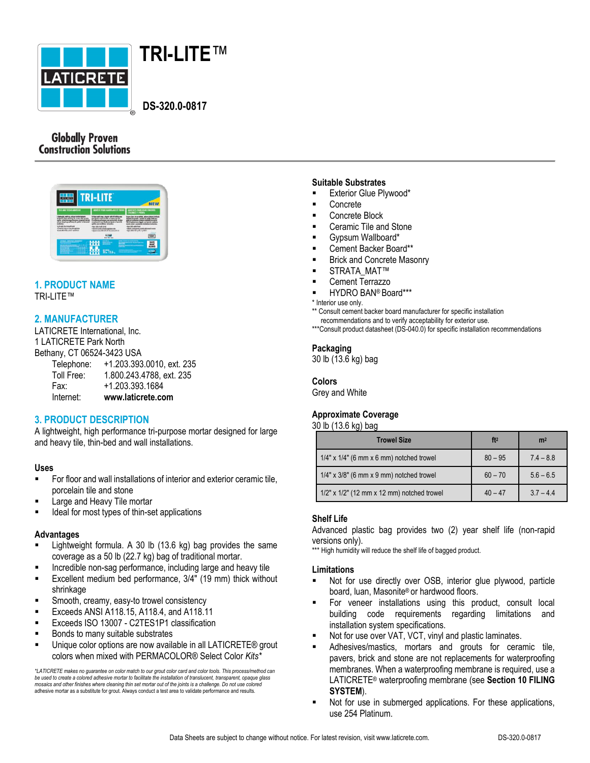



 **DS-320.0-0817**

## **Globally Proven Construction Solutions**

|                                                                                                     | <b>TRI-LITE</b>                                                                           | <b>NEW</b>                                                                          |
|-----------------------------------------------------------------------------------------------------|-------------------------------------------------------------------------------------------|-------------------------------------------------------------------------------------|
| TILE AND STORE ADDISSIVE                                                                            | ADMISH FOUR CARRILAGE ET PIERRS                                                           | ADVESTO PARA REVISTMENTO<br><b>CRANCE T PERO</b>                                    |
| vial/with future intention<br>of fished and Logs and being the unit<br>Constanting Land Land Street | ando a landa appalatos sos<br><b>Gilberton SANS N/ FR. 19 &amp; OLA. No. 4 per P N 11</b> | a distribution of the con-                                                          |
|                                                                                                     | 333944<br><b>Broth 1 West 1 State</b>                                                     |                                                                                     |
| <b>CONTRACT CONSUMERS AND INCOME.</b>                                                               | <b>SERRICH</b><br><b>PERMIT</b><br>$-00112.0$                                             | and from the Library and<br>---------------------<br>wants more it of lux Northeast |

#### **1. PRODUCT NAME** TRI-LITE™

## **2. MANUFACTURER**

LATICRETE International, Inc. 1 LATICRETE Park North Bethany, CT 06524-3423 USA

| Internet:  | www.laticrete.com         |
|------------|---------------------------|
| Fax:       | +1.203.393.1684           |
| Toll Free: | 1.800.243.4788, ext. 235  |
| Telephone: | +1.203.393.0010, ext. 235 |

## **3. PRODUCT DESCRIPTION**

A lightweight, high performance tri-purpose mortar designed for large and heavy tile, thin-bed and wall installations.

#### **Uses**

- For floor and wall installations of interior and exterior ceramic tile, porcelain tile and stone
- Large and Heavy Tile mortar
- Ideal for most types of thin-set applications

#### **Advantages**

- Lightweight formula. A 30 lb (13.6 kg) bag provides the same coverage as a 50 lb (22.7 kg) bag of traditional mortar.
- Incredible non-sag performance, including large and heavy tile
- Excellent medium bed performance, 3/4" (19 mm) thick without shrinkage
- Smooth, creamy, easy-to trowel consistency
- Exceeds ANSI A118.15, A118.4, and A118.11
- Exceeds ISO 13007 C2TES1P1 classification
- Bonds to many suitable substrates
- **Unique color options are now available in all LATICRETE® grout** colors when mixed with PERMACOLOR® Select Color *Kits\**

*\*LATICRETE makes no guarantee on color match to our grout color card and color tools. This process/method can be used to create a colored adhesive mortar to facilitate the installation of translucent, transparent, opaque glass mosaics and other finishes where cleaning thin set mortar out of the joints is a challenge. Do not use colored* adhesive mortar as a substitute for grout. Always conduct a test area to validate performance and results.

#### **Suitable Substrates**

- **Exterior Glue Plywood\***
- Concrete
- Concrete Block
- Ceramic Tile and Stone
- Gypsum Wallboard\*
- Cement Backer Board\*\*
- Brick and Concrete Masonry
- STRATA\_MAT™
- Cement Terrazzo
- HYDRO BAN® Board\*\*\*

\* Interior use only.

\*\* Consult cement backer board manufacturer for specific installation

- recommendations and to verify acceptability for exterior use.
- \*\*\*Consult product datasheet (DS-040.0) for specific installation recommendations

#### **Packaging**

30 lb (13.6 kg) bag

# **Colors**

Grey and White

## **Approximate Coverage**

#### 30 lb (13.6 kg) bag

| <b>Trowel Size</b>                               | ft <sup>2</sup> | m <sup>2</sup> |
|--------------------------------------------------|-----------------|----------------|
| $1/4$ " x $1/4$ " (6 mm x 6 mm) notched trowel   | $80 - 95$       | $7.4 - 8.8$    |
| $1/4$ " x $3/8$ " (6 mm x 9 mm) notched trowel   | $60 - 70$       | $5.6 - 6.5$    |
| $1/2$ " x $1/2$ " (12 mm x 12 mm) notched trowel | $40 - 47$       | $37 - 44$      |

#### **Shelf Life**

Advanced plastic bag provides two (2) year shelf life (non-rapid versions only).

\*\*\* High humidity will reduce the shelf life of bagged product.

#### **Limitations**

- Not for use directly over OSB, interior glue plywood, particle board, luan, Masonite® or hardwood floors.
- For veneer installations using this product, consult local building code requirements regarding limitations and installation system specifications.
- Not for use over VAT, VCT, vinyl and plastic laminates.
- Adhesives/mastics, mortars and grouts for ceramic tile, pavers, brick and stone are not replacements for waterproofing membranes. When a waterproofing membrane is required, use a LATICRETE® waterproofing membrane (see **Section 10 FILING SYSTEM**).
- Not for use in submerged applications. For these applications, use 254 Platinum.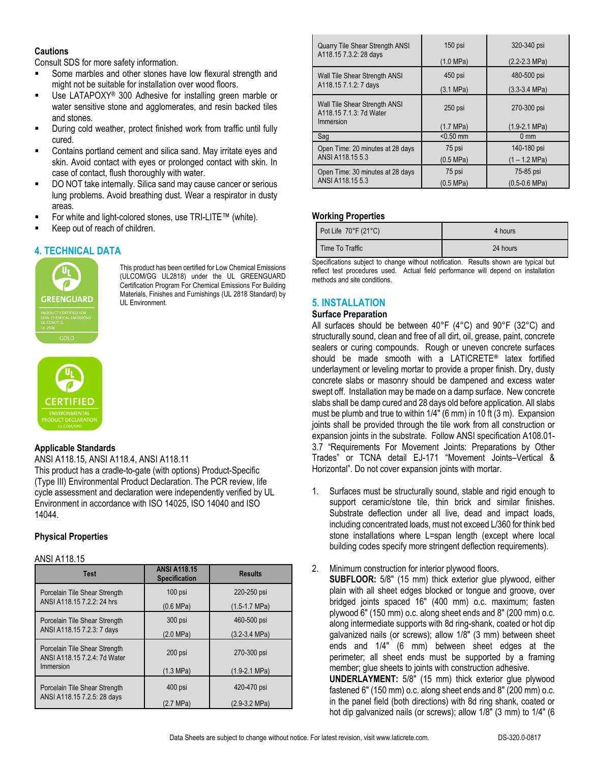#### **Cautions**

Consult SDS for more safety information.

- **Some marbles and other stones have low flexural strength and** might not be suitable for installation over wood floors.
- Use LATAPOXY® 300 Adhesive for installing green marble or water sensitive stone and agglomerates, and resin backed tiles and stones.
- During cold weather, protect finished work from traffic until fully cured.
- Contains portland cement and silica sand. May irritate eyes and skin. Avoid contact with eyes or prolonged contact with skin. In case of contact, flush thoroughly with water.
- DO NOT take internally. Silica sand may cause cancer or serious lung problems. Avoid breathing dust. Wear a respirator in dusty areas.
- For white and light-colored stones, use TRI-LITE™ (white).
- Keep out of reach of children.

# **4. TECHNICAL DATA**



This product has been certified for Low Chemical Emissions (ULCOM/GG UL2818) under the UL GREENGUARD Certification Program For Chemical Emissions For Building Materials, Finishes and Furnishings (UL 2818 Standard) by UL Environment.



#### **Applicable Standards**

ANSI A118.15, ANSI A118.4, ANSI A118.11 This product has a cradle-to-gate (with options) Product-Specific (Type III) Environmental Product Declaration. The PCR review, life cycle assessment and declaration were independently verified by UL Environment in accordance with ISO 14025, ISO 14040 and ISO 14044.

## **Physical Properties**

#### ANSI A118.15

| <b>Test</b>                                                   | <b>ANSI A118.15</b><br><b>Specification</b> | <b>Results</b>    |
|---------------------------------------------------------------|---------------------------------------------|-------------------|
| Porcelain Tile Shear Strength                                 | $100$ psi                                   | 220-250 psi       |
| ANSI A118.15 7.2.2: 24 hrs                                    | $(0.6 \text{ MPa})$                         | $(1.5-1.7 MPa)$   |
| Porcelain Tile Shear Strength<br>ANSI A118.15 7.2.3: 7 days   | 300 psi                                     | 460-500 psi       |
|                                                               | (2.0 MPa)                                   | $(3.2 - 3.4 MPa)$ |
| Porcelain Tile Shear Strength<br>ANSI A118.15 7.2.4: 7d Water | 200 psi                                     | 270-300 psi       |
| Immersion                                                     | (1.3 MPa)                                   | $(1.9-2.1 MPa)$   |
| Porcelain Tile Shear Strength                                 | 400 psi                                     | 420-470 psi       |
| ANSI A118.15 7.2.5: 28 days                                   | (2.7 MPa)                                   | $(2.9-3.2 MPa)$   |

| <b>Quarry Tile Shear Strength ANSI</b>                   | 150 psi     | 320-340 psi               |
|----------------------------------------------------------|-------------|---------------------------|
| A118.15 7.3.2: 28 days                                   | (1.0 MPa)   | $(2.2 - 2.3 \text{ MPa})$ |
| Wall Tile Shear Strength ANSI                            | 450 psi     | 480-500 psi               |
| A118.15 7.1.2: 7 days                                    | (3.1 MPa)   | $(3.3-3.4 MPa)$           |
| Wall Tile Shear Strength ANSI<br>A118.15 7.1.3: 7d Water | $250$ psi   | 270-300 psi               |
| Immersion                                                | (1.7 MPa)   | $(1.9-2.1 MPa)$           |
| Sag                                                      | $< 0.50$ mm | $0 \text{ mm}$            |
| Open Time: 20 minutes at 28 days                         | 75 psi      | 140-180 psi               |
| ANSI A118.15 5.3                                         | (0.5 MPa)   | $(1 - 1.2 \text{ MPa})$   |
| Open Time: 30 minutes at 28 days                         | 75 psi      | 75-85 psi                 |
| ANSI A118.15 5.3                                         | (0.5 MPa)   | $(0.5 - 0.6$ MPa)         |

## **Working Properties**

| Pot Life $70^{\circ}$ F (21 $^{\circ}$ C) | 4 hours  |
|-------------------------------------------|----------|
| Time To Traffic                           | 24 hours |

Specifications subject to change without notification. Results shown are typical but reflect test procedures used. Actual field performance will depend on installation methods and site conditions.

# **5. INSTALLATION**

#### **Surface Preparation**

All surfaces should be between 40°F (4°C) and 90°F (32°C) and structurally sound, clean and free of all dirt, oil, grease, paint, concrete sealers or curing compounds. Rough or uneven concrete surfaces should be made smooth with a LATICRETE**®** latex fortified underlayment or leveling mortar to provide a proper finish. Dry, dusty concrete slabs or masonry should be dampened and excess water swept off. Installation may be made on a damp surface. New concrete slabs shall be damp cured and 28 days old before application. All slabs must be plumb and true to within 1/4" (6 mm) in 10 ft (3 m). Expansion joints shall be provided through the tile work from all construction or expansion joints in the substrate. Follow ANSI specification A108.01- 3.7 "Requirements For Movement Joints: Preparations by Other Trades" or TCNA detail EJ-171 "Movement Joints–Vertical & Horizontal". Do not cover expansion joints with mortar.

- 1. Surfaces must be structurally sound, stable and rigid enough to support ceramic/stone tile, thin brick and similar finishes. Substrate deflection under all live, dead and impact loads, including concentrated loads, must not exceed L/360 for think bed stone installations where L=span length (except where local building codes specify more stringent deflection requirements).
- 2. Minimum construction for interior plywood floors.

**SUBFLOOR:** 5/8" (15 mm) thick exterior glue plywood, either plain with all sheet edges blocked or tongue and groove, over bridged joints spaced 16" (400 mm) o.c. maximum; fasten plywood 6" (150 mm) o.c. along sheet ends and 8" (200 mm) o.c. along intermediate supports with 8d ring-shank, coated or hot dip galvanized nails (or screws); allow 1/8" (3 mm) between sheet ends and 1/4" (6 mm) between sheet edges at the perimeter; all sheet ends must be supported by a framing member; glue sheets to joints with construction adhesive. **UNDERLAYMENT:** 5/8" (15 mm) thick exterior glue plywood

fastened 6" (150 mm) o.c. along sheet ends and 8" (200 mm) o.c. in the panel field (both directions) with 8d ring shank, coated or hot dip galvanized nails (or screws); allow 1/8" (3 mm) to 1/4" (6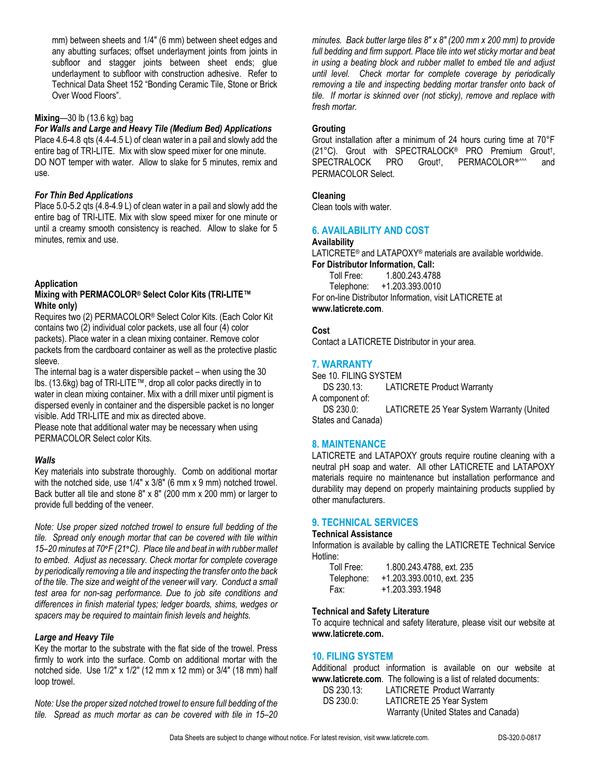mm) between sheets and 1/4" (6 mm) between sheet edges and any abutting surfaces; offset underlayment joints from joints in subfloor and stagger joints between sheet ends; glue underlayment to subfloor with construction adhesive. Refer to Technical Data Sheet 152 "Bonding Ceramic Tile, Stone or Brick Over Wood Floors".

#### **Mixing**—30 lb (13.6 kg) bag

*For Walls and Large and Heavy Tile (Medium Bed) Applications* Place 4.6-4.8 qts (4.4-4.5 L) of clean water in a pail and slowly add the entire bag of TRI-LITE. Mix with slow speed mixer for one minute. DO NOT temper with water. Allow to slake for 5 minutes, remix and use.

#### *For Thin Bed Applications*

Place 5.0-5.2 qts (4.8-4.9 L) of clean water in a pail and slowly add the entire bag of TRI-LITE. Mix with slow speed mixer for one minute or until a creamy smooth consistency is reached. Allow to slake for 5 minutes, remix and use.

#### **Application**

#### **Mixing with PERMACOLOR® Select Color Kits (TRI-LITE™ White only)**

Requires two (2) PERMACOLOR® Select Color Kits. (Each Color Kit contains two (2) individual color packets, use all four (4) color packets). Place water in a clean mixing container. Remove color packets from the cardboard container as well as the protective plastic sleeve.

The internal bag is a water dispersible packet – when using the 30 lbs. (13.6kg) bag of TRI-LITE™, drop all color packs directly in to water in clean mixing container. Mix with a drill mixer until pigment is dispersed evenly in container and the dispersible packet is no longer visible. Add TRI-LITE and mix as directed above.

Please note that additional water may be necessary when using PERMACOLOR Select color Kits.

## *Walls*

Key materials into substrate thoroughly. Comb on additional mortar with the notched side, use 1/4" x 3/8" (6 mm x 9 mm) notched trowel. Back butter all tile and stone 8" x 8" (200 mm x 200 mm) or larger to provide full bedding of the veneer.

*Note: Use proper sized notched trowel to ensure full bedding of the tile. Spread only enough mortar that can be covered with tile within 15–20 minutes at 70***°***F (21***°***C). Place tile and beat in with rubber mallet to embed. Adjust as necessary. Check mortar for complete coverage by periodically removing a tile and inspecting the transfer onto the back of the tile. The size and weight of the veneer will vary. Conduct a small test area for non-sag performance. Due to job site conditions and differences in finish material types; ledger boards, shims, wedges or spacers may be required to maintain finish levels and heights.*

#### *Large and Heavy Tile*

Key the mortar to the substrate with the flat side of the trowel. Press firmly to work into the surface. Comb on additional mortar with the notched side. Use 1/2" x 1/2" (12 mm x 12 mm) or 3/4" (18 mm) half loop trowel.

*Note: Use the proper sized notched trowel to ensure full bedding of the tile. Spread as much mortar as can be covered with tile in 15–20* 

*minutes. Back butter large tiles 8" x 8" (200 mm x 200 mm) to provide full bedding and firm support. Place tile into wet sticky mortar and beat in using a beating block and rubber mallet to embed tile and adjust until level. Check mortar for complete coverage by periodically removing a tile and inspecting bedding mortar transfer onto back of tile. If mortar is skinned over (not sticky), remove and replace with fresh mortar.*

## **Grouting**

Grout installation after a minimum of 24 hours curing time at 70°F (21°C). Grout with SPECTRALOCK® PRO Premium Grout† , SPECTRALOCK PRO Grout<sup>†</sup>, PERMACOLOR<sup>®^^^</sup> and PERMACOLOR Select.

#### **Cleaning**

Clean tools with water.

## **6. AVAILABILITY AND COST**

#### **Availability**

LATICRETE® and LATAPOXY® materials are available worldwide. **For Distributor Information, Call:**

Toll Free: 1.800.243.4788 Telephone: +1.203.393.0010 For on-line Distributor Information, visit LATICRETE at **www.laticrete.com**.

## **Cost**

Contact a LATICRETE Distributor in your area.

## **7. WARRANTY**

See 10. FILING SYSTEM DS 230.13: LATICRETE Product Warranty A component of: DS 230.0: LATICRETE 25 Year System Warranty (United States and Canada)

## **8. MAINTENANCE**

LATICRETE and LATAPOXY grouts require routine cleaning with a neutral pH soap and water. All other LATICRETE and LATAPOXY materials require no maintenance but installation performance and durability may depend on properly maintaining products supplied by other manufacturers.

## **9. TECHNICAL SERVICES**

#### **Technical Assistance**

Information is available by calling the LATICRETE Technical Service Hotline:

| Toll Free: | 1.800.243.4788, ext. 235  |
|------------|---------------------------|
| Telephone: | +1.203.393.0010, ext. 235 |
| Fax:       | +1.203.393.1948           |

#### **Technical and Safety Literature**

To acquire technical and safety literature, please visit our website at **www.laticrete.com.**

## **10. FILING SYSTEM**

Additional product information is available on our website at **www.laticrete.com**. The following is a list of related documents:<br>DS 230.13: LATICRETE Product Warranty DS 230.13: LATICRETE Product Warranty<br>DS 230.0: LATICRETE 25 Year System

| DO 200.10. | LATIONETE FIUUUU WAHAHIY            |
|------------|-------------------------------------|
| DS 230.0:  | LATICRETE 25 Year System            |
|            | Warranty (United States and Canada) |